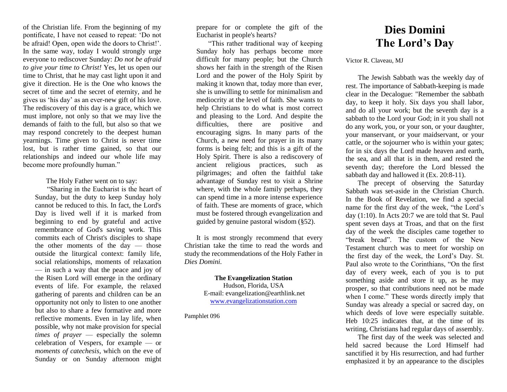of the Christian life. From the beginning of my pontificate, I have not ceased to repeat: 'Do not be afraid! Open, open wide the doors to Christ!'. In the same way, today I would strongly urge everyone to rediscover Sunday: *Do not be afraid to give your time to Christ!* Yes, let us open our time to Christ, that he may cast light upon it and give it direction. He is the One who knows the secret of time and the secret of eternity, and he gives us 'his day' as an ever-new gift of his love. The rediscovery of this day is a grace, which we must implore, not only so that we may live the demands of faith to the full, but also so that we may respond concretely to the deepest human yearnings. Time given to Christ is never time lost, but is rather time gained, so that our relationships and indeed our whole life may become more profoundly human."

## The Holy Father went on to say:

"Sharing in the Eucharist is the heart of Sunday, but the duty to keep Sunday holy cannot be reduced to this. In fact, the Lord's Day is lived well if it is marked from beginning to end by grateful and active remembrance of God's saving work. This commits each of Christ's disciples to shape the other moments of the day — those outside the liturgical context: family life, social relationships, moments of relaxation — in such a way that the peace and joy of the Risen Lord will emerge in the ordinary events of life. For example, the relaxed gathering of parents and children can be an opportunity not only to listen to one another but also to share a few formative and more reflective moments. Even in lay life, when possible, why not make provision for special *times of prayer* — especially the solemn celebration of Vespers, for example — or *moments of catechesis*, which on the eve of Sunday or on Sunday afternoon might

prepare for or complete the gift of the Eucharist in people's hearts?

"This rather traditional way of keeping Sunday holy has perhaps become more difficult for many people; but the Church shows her faith in the strength of the Risen Lord and the power of the Holy Spirit by making it known that, today more than ever, she is unwilling to settle for minimalism and mediocrity at the level of faith. She wants to help Christians to do what is most correct and pleasing to the Lord. And despite the difficulties, there are positive and encouraging signs. In many parts of the Church, a new need for prayer in its many forms is being felt; and this is a gift of the Holy Spirit. There is also a rediscovery of ancient religious practices, such as pilgrimages; and often the faithful take advantage of Sunday rest to visit a Shrine where, with the whole family perhaps, they can spend time in a more intense experience of faith. These are moments of grace, which must be fostered through evangelization and guided by genuine pastoral wisdom (§52).

It is most strongly recommend that every Christian take the time to read the words and study the recommendations of the Holy Father in *Dies Domini.* 

## **The Evangelization Station** Hudson, Florida, USA

E-mail: evangelization@earthlink.net [www.evangelizationstation.com](http://www.pjpiisoe.org/)

Pamphlet 096

## **Dies Domini The Lord's Day**

Victor R. Claveau, MJ

 The Jewish Sabbath was the weekly day of rest. The importance of Sabbath-keeping is made clear in the Decalogue: "Remember the sabbath day, to keep it holy. Six days you shall labor, and do all your work; but the seventh day is a sabbath to the Lord your God; in it you shall not do any work, you, or your son, or your daughter, your manservant, or your maidservant, or your cattle, or the sojourner who is within your gates; for in six days the Lord made heaven and earth, the sea, and all that is in them, and rested the seventh day; therefore the Lord blessed the sabbath day and hallowed it (Ex. 20:8-11).

The precept of observing the Saturday Sabbath was set-aside in the Christian Church. In the Book of Revelation, we find a special name for the first day of the week, "the Lord's day (1:10). In Acts 20:7 we are told that St. Paul spent seven days at Troas, and that on the first day of the week the disciples came together to "break bread". The custom of the New Testament church was to meet for worship on the first day of the week, the Lord's Day. St. Paul also wrote to the Corinthians, "On the first day of every week, each of you is to put something aside and store it up, as he may prosper, so that contributions need not be made when I come." These words directly imply that Sunday was already a special or sacred day, on which deeds of love were especially suitable. Heb 10:25 indicates that, at the time of its writing, Christians had regular days of assembly.

The first day of the week was selected and held sacred because the Lord Himself had sanctified it by His resurrection, and had further emphasized it by an appearance to the disciples